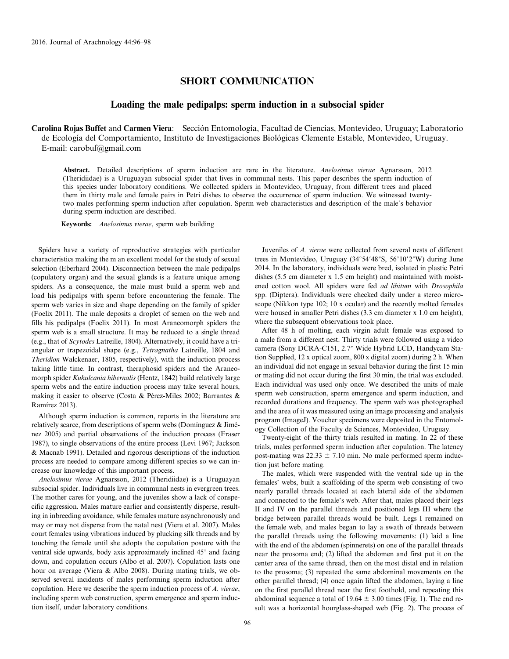## SHORT COMMUNICATION

## Loading the male pedipalps: sperm induction in a subsocial spider

Carolina Rojas Buffet and Carmen Viera: Sección Entomología, Facultad de Ciencias, Montevideo, Uruguay; Laboratorio de Ecología del Comportamiento, Instituto de Investigaciones Biológicas Clemente Estable, Montevideo, Uruguay. E-mail: carobuf@gmail.com

Abstract. Detailed descriptions of sperm induction are rare in the literature. Anelosimus vierae Agnarsson, 2012 (Theridiidae) is a Uruguayan subsocial spider that lives in communal nests. This paper describes the sperm induction of this species under laboratory conditions. We collected spiders in Montevideo, Uruguay, from different trees and placed them in thirty male and female pairs in Petri dishes to observe the occurrence of sperm induction. We witnessed twentytwo males performing sperm induction after copulation. Sperm web characteristics and description of the male´s behavior during sperm induction are described.

Keywords: Anelosimus vierae, sperm web building

Spiders have a variety of reproductive strategies with particular characteristics making the m an excellent model for the study of sexual selection (Eberhard 2004). Disconnection between the male pedipalps (copulatory organ) and the sexual glands is a feature unique among spiders. As a consequence, the male must build a sperm web and load his pedipalps with sperm before encountering the female. The sperm web varies in size and shape depending on the family of spider (Foelix 2011). The male deposits a droplet of semen on the web and fills his pedipalps (Foelix 2011). In most Araneomorph spiders the sperm web is a small structure. It may be reduced to a single thread (e.g., that of Scytodes Latreille, 1804). Alternatively, it could have a triangular or trapezoidal shape (e.g., Tetragnatha Latreille, 1804 and Theridion Walckenaer, 1805, respectively), with the induction process taking little time. In contrast, theraphosid spiders and the Araneomorph spider Kukulcania hibernalis (Hentz, 1842) build relatively large sperm webs and the entire induction process may take several hours, making it easier to observe (Costa & Pérez-Miles 2002; Barrantes & Ramírez 2013).

Although sperm induction is common, reports in the literature are relatively scarce, from descriptions of sperm webs (Domínguez & Jiménez 2005) and partial observations of the induction process (Fraser 1987), to single observations of the entire process (Levi 1967; Jackson & Macnab 1991). Detailed and rigorous descriptions of the induction process are needed to compare among different species so we can increase our knowledge of this important process.

Anelosimus vierae Agnarsson, 2012 (Theridiidae) is a Uruguayan subsocial spider. Individuals live in communal nests in evergreen trees. The mother cares for young, and the juveniles show a lack of conspecific aggression. Males mature earlier and consistently disperse, resulting in inbreeding avoidance, while females mature asynchronously and may or may not disperse from the natal nest (Viera et al. 2007). Males court females using vibrations induced by plucking silk threads and by touching the female until she adopts the copulation posture with the ventral side upwards, body axis approximately inclined 45° and facing down, and copulation occurs (Albo et al. 2007). Copulation lasts one hour on average (Viera & Albo 2008). During mating trials, we observed several incidents of males performing sperm induction after copulation. Here we describe the sperm induction process of A. vierae, including sperm web construction, sperm emergence and sperm induction itself, under laboratory conditions.

Juveniles of A. vierae were collected from several nests of different trees in Montevideo, Uruguay  $(34^{\circ}54'48''\text{S}, 56^{\circ}10'2''\text{W})$  during June 2014. In the laboratory, individuals were bred, isolated in plastic Petri dishes (5.5 cm diameter x 1.5 cm height) and maintained with moistened cotton wool. All spiders were fed ad libitum with Drosophila spp. (Diptera). Individuals were checked daily under a stereo microscope (Nikkon type 102; 10 x ocular) and the recently molted females were housed in smaller Petri dishes (3.3 cm diameter x 1.0 cm height), where the subsequent observations took place.

After 48 h of molting, each virgin adult female was exposed to a male from a different nest. Thirty trials were followed using a video camera (Sony DCRA-C151, 2.7″ Wide Hybrid LCD, Handycam Station Supplied, 12 x optical zoom, 800 x digital zoom) during 2 h. When an individual did not engage in sexual behavior during the first 15 min or mating did not occur during the first 30 min, the trial was excluded. Each individual was used only once. We described the units of male sperm web construction, sperm emergence and sperm induction, and recorded durations and frequency. The sperm web was photographed and the area of it was measured using an image processing and analysis program (ImageJ). Voucher specimens were deposited in the Entomology Collection of the Faculty de Sciences, Montevideo, Uruguay.

Twenty-eight of the thirty trials resulted in mating. In 22 of these trials, males performed sperm induction after copulation. The latency post-mating was  $22.33 \pm 7.10$  min. No male performed sperm induction just before mating.

The males, which were suspended with the ventral side up in the females' webs, built a scaffolding of the sperm web consisting of two nearly parallel threads located at each lateral side of the abdomen and connected to the female's web. After that, males placed their legs II and IV on the parallel threads and positioned legs III where the bridge between parallel threads would be built. Legs I remained on the female web, and males began to lay a swath of threads between the parallel threads using the following movements: (1) laid a line with the end of the abdomen (spinnerets) on one of the parallel threads near the prosoma end; (2) lifted the abdomen and first put it on the center area of the same thread, then on the most distal end in relation to the prosoma; (3) repeated the same abdominal movements on the other parallel thread; (4) once again lifted the abdomen, laying a line on the first parallel thread near the first foothold, and repeating this abdominal sequence a total of 19.64  $\pm$  3.00 times (Fig. 1). The end result was a horizontal hourglass-shaped web (Fig. 2). The process of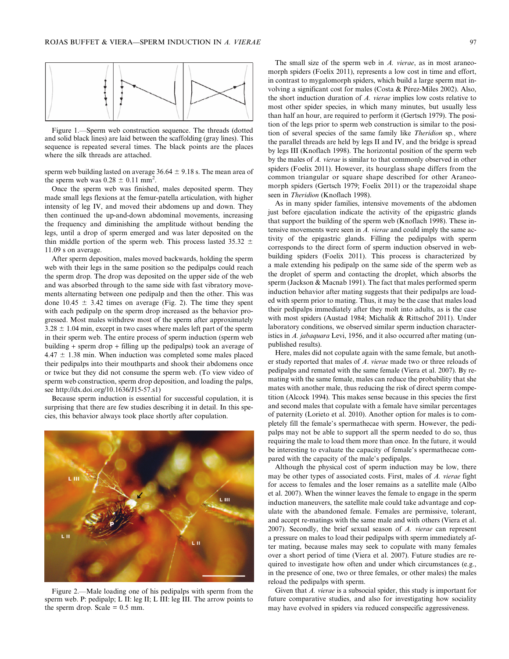

Figure 1.—Sperm web construction sequence. The threads (dotted and solid black lines) are laid between the scaffolding (gray lines). This sequence is repeated several times. The black points are the places where the silk threads are attached.

sperm web building lasted on average  $36.64 \pm 9.18$  s. The mean area of the sperm web was  $0.28 \pm 0.11$  mm<sup>2</sup>.

Once the sperm web was finished, males deposited sperm. They made small legs flexions at the femur-patella articulation, with higher intensity of leg IV, and moved their abdomens up and down. They then continued the up-and-down abdominal movements, increasing the frequency and diminishing the amplitude without bending the legs, until a drop of sperm emerged and was later deposited on the thin middle portion of the sperm web. This process lasted 35.32  $\pm$ 11.09 s on average.

After sperm deposition, males moved backwards, holding the sperm web with their legs in the same position so the pedipalps could reach the sperm drop. The drop was deposited on the upper side of the web and was absorbed through to the same side with fast vibratory movements alternating between one pedipalp and then the other. This was done  $10.45 \pm 3.42$  times on average (Fig. 2). The time they spent with each pedipalp on the sperm drop increased as the behavior progressed. Most males withdrew most of the sperm after approximately  $3.28 \pm 1.04$  min, except in two cases where males left part of the sperm in their sperm web. The entire process of sperm induction (sperm web building + sperm drop + filling up the pedipalps) took an average of  $4.47 \pm 1.38$  min. When induction was completed some males placed their pedipalps into their mouthparts and shook their abdomens once or twice but they did not consume the sperm web. (To view video of sperm web construction, sperm drop deposition, and loading the palps, see http://dx.doi.org/10.1636/J15-57.s1)

Because sperm induction is essential for successful copulation, it is surprising that there are few studies describing it in detail. In this species, this behavior always took place shortly after copulation.



Figure 2.—Male loading one of his pedipalps with sperm from the sperm web. P: pedipalp; L II: leg II; L III: leg III. The arrow points to the sperm drop. Scale  $= 0.5$  mm.

The small size of the sperm web in  $A$ . vierae, as in most araneomorph spiders (Foelix 2011), represents a low cost in time and effort, in contrast to mygalomorph spiders, which build a large sperm mat involving a significant cost for males (Costa & Pérez-Miles 2002). Also, the short induction duration of A. vierae implies low costs relative to most other spider species, in which many minutes, but usually less than half an hour, are required to perform it (Gertsch 1979). The position of the legs prior to sperm web construction is similar to the position of several species of the same family like Theridion sp., where the parallel threads are held by legs II and IV, and the bridge is spread by legs III (Knoflach 1998). The horizontal position of the sperm web by the males of A. vierae is similar to that commonly observed in other spiders (Foelix 2011). However, its hourglass shape differs from the common triangular or square shape described for other Araneomorph spiders (Gertsch 1979; Foelix 2011) or the trapezoidal shape seen in Theridion (Knoflach 1998).

As in many spider families, intensive movements of the abdomen just before ejaculation indicate the activity of the epigastric glands that support the building of the sperm web (Knoflach 1998). These intensive movements were seen in A. vierae and could imply the same activity of the epigastric glands. Filling the pedipalps with sperm corresponds to the direct form of sperm induction observed in webbuilding spiders (Foelix 2011). This process is characterized by a male extending his pedipalp on the same side of the sperm web as the droplet of sperm and contacting the droplet, which absorbs the sperm (Jackson & Macnab 1991). The fact that males performed sperm induction behavior after mating suggests that their pedipalps are loaded with sperm prior to mating. Thus, it may be the case that males load their pedipalps immediately after they molt into adults, as is the case with most spiders (Austad 1984; Michalik & Rittschof 2011). Under laboratory conditions, we observed similar sperm induction characteristics in A. *jabaquara* Levi, 1956, and it also occurred after mating (unpublished results).

Here, males did not copulate again with the same female, but another study reported that males of A. vierae made two or three reloads of pedipalps and remated with the same female (Viera et al. 2007). By remating with the same female, males can reduce the probability that she mates with another male, thus reducing the risk of direct sperm competition (Alcock 1994). This makes sense because in this species the first and second males that copulate with a female have similar percentages of paternity (Lorieto et al. 2010). Another option for males is to completely fill the female's spermathecae with sperm. However, the pedipalps may not be able to support all the sperm needed to do so, thus requiring the male to load them more than once. In the future, it would be interesting to evaluate the capacity of female's spermathecae compared with the capacity of the male's pedipalps.

Although the physical cost of sperm induction may be low, there may be other types of associated costs. First, males of A. vierae fight for access to females and the loser remains as a satellite male (Albo et al. 2007). When the winner leaves the female to engage in the sperm induction maneuvers, the satellite male could take advantage and copulate with the abandoned female. Females are permissive, tolerant, and accept re-matings with the same male and with others (Viera et al. 2007). Secondly, the brief sexual season of A. vierae can represent a pressure on males to load their pedipalps with sperm immediately after mating, because males may seek to copulate with many females over a short period of time (Viera et al. 2007). Future studies are required to investigate how often and under which circumstances (e.g., in the presence of one, two or three females, or other males) the males reload the pedipalps with sperm.

Given that A. vierae is a subsocial spider, this study is important for future comparative studies, and also for investigating how sociality may have evolved in spiders via reduced conspecific aggressiveness.